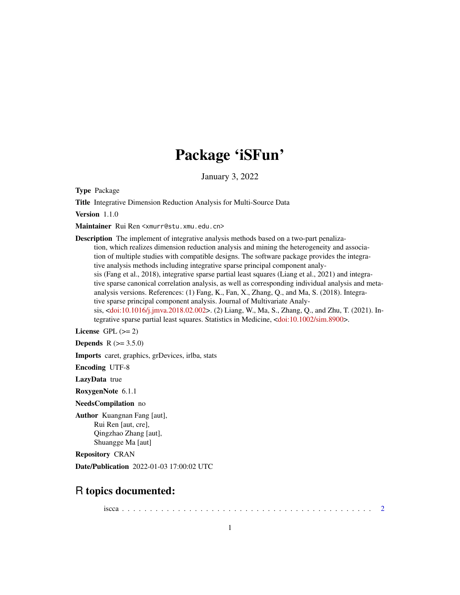## Package 'iSFun'

January 3, 2022

Type Package

Title Integrative Dimension Reduction Analysis for Multi-Source Data

Version 1.1.0

Maintainer Rui Ren <xmurr@stu.xmu.edu.cn>

Description The implement of integrative analysis methods based on a two-part penalization, which realizes dimension reduction analysis and mining the heterogeneity and association of multiple studies with compatible designs. The software package provides the integrative analysis methods including integrative sparse principal component analysis (Fang et al., 2018), integrative sparse partial least squares (Liang et al., 2021) and integrative sparse canonical correlation analysis, as well as corresponding individual analysis and metaanalysis versions. References: (1) Fang, K., Fan, X., Zhang, Q., and Ma, S. (2018). Integrative sparse principal component analysis. Journal of Multivariate Analysis, [<doi:10.1016/j.jmva.2018.02.002>](https://doi.org/10.1016/j.jmva.2018.02.002). (2) Liang, W., Ma, S., Zhang, Q., and Zhu, T. (2021). Integrative sparse partial least squares. Statistics in Medicine, [<doi:10.1002/sim.8900>](https://doi.org/10.1002/sim.8900).

License GPL  $(>= 2)$ 

**Depends** R  $(>= 3.5.0)$ 

Imports caret, graphics, grDevices, irlba, stats

Encoding UTF-8

LazyData true

RoxygenNote 6.1.1

NeedsCompilation no

Author Kuangnan Fang [aut], Rui Ren [aut, cre], Qingzhao Zhang [aut], Shuangge Ma [aut]

Repository CRAN

Date/Publication 2022-01-03 17:00:02 UTC

## R topics documented:

iscca . . . . . . . . . . . . . . . . . . . . . . . . . . . . . . . . . . . . . . . . . . . . . [2](#page-1-0)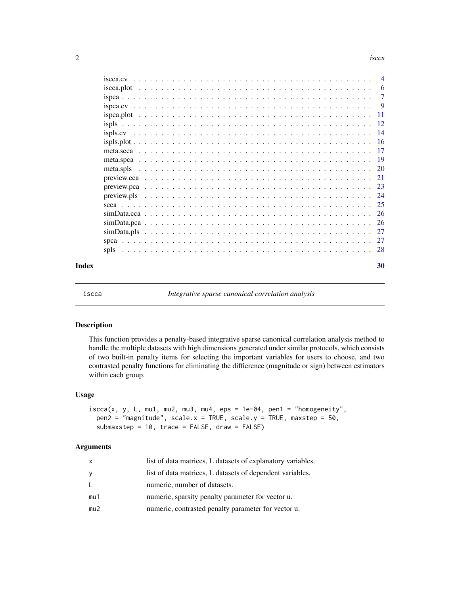#### $2 \t\t isca$

|       |           |  |  |  |  |  |  |  |  |  |  |  |  |  |  |  |  |  |  | - 6            |
|-------|-----------|--|--|--|--|--|--|--|--|--|--|--|--|--|--|--|--|--|--|----------------|
|       |           |  |  |  |  |  |  |  |  |  |  |  |  |  |  |  |  |  |  | -7             |
|       |           |  |  |  |  |  |  |  |  |  |  |  |  |  |  |  |  |  |  | $\overline{9}$ |
|       |           |  |  |  |  |  |  |  |  |  |  |  |  |  |  |  |  |  |  |                |
|       |           |  |  |  |  |  |  |  |  |  |  |  |  |  |  |  |  |  |  |                |
|       |           |  |  |  |  |  |  |  |  |  |  |  |  |  |  |  |  |  |  |                |
|       |           |  |  |  |  |  |  |  |  |  |  |  |  |  |  |  |  |  |  |                |
|       |           |  |  |  |  |  |  |  |  |  |  |  |  |  |  |  |  |  |  |                |
|       |           |  |  |  |  |  |  |  |  |  |  |  |  |  |  |  |  |  |  |                |
|       | meta.spls |  |  |  |  |  |  |  |  |  |  |  |  |  |  |  |  |  |  |                |
|       |           |  |  |  |  |  |  |  |  |  |  |  |  |  |  |  |  |  |  |                |
|       |           |  |  |  |  |  |  |  |  |  |  |  |  |  |  |  |  |  |  |                |
|       |           |  |  |  |  |  |  |  |  |  |  |  |  |  |  |  |  |  |  |                |
|       |           |  |  |  |  |  |  |  |  |  |  |  |  |  |  |  |  |  |  |                |
|       |           |  |  |  |  |  |  |  |  |  |  |  |  |  |  |  |  |  |  |                |
|       |           |  |  |  |  |  |  |  |  |  |  |  |  |  |  |  |  |  |  |                |
|       |           |  |  |  |  |  |  |  |  |  |  |  |  |  |  |  |  |  |  |                |
|       |           |  |  |  |  |  |  |  |  |  |  |  |  |  |  |  |  |  |  |                |
|       | spls      |  |  |  |  |  |  |  |  |  |  |  |  |  |  |  |  |  |  |                |
| Index |           |  |  |  |  |  |  |  |  |  |  |  |  |  |  |  |  |  |  | 30             |

<span id="page-1-1"></span>

iscca *Integrative sparse canonical correlation analysis*

#### Description

This function provides a penalty-based integrative sparse canonical correlation analysis method to handle the multiple datasets with high dimensions generated under similar protocols, which consists of two built-in penalty items for selecting the important variables for users to choose, and two contrasted penalty functions for eliminating the diffierence (magnitude or sign) between estimators within each group.

#### Usage

```
iscca(x, y, L, mu1, mu2, mu3, mu4,eps = 1e-04, pen1 = "homogeneity",pen2 = "magnitude", scale.x = TRUE, scale.y = TRUE, maxstep = 50,submaxstep = 10, trace = FALSE, draw = FALSE)
```

| x   | list of data matrices, L datasets of explanatory variables. |
|-----|-------------------------------------------------------------|
| У   | list of data matrices, L datasets of dependent variables.   |
| L   | numeric, number of datasets.                                |
| mu1 | numeric, sparsity penalty parameter for vector u.           |
| mu2 | numeric, contrasted penalty parameter for vector u.         |

<span id="page-1-0"></span>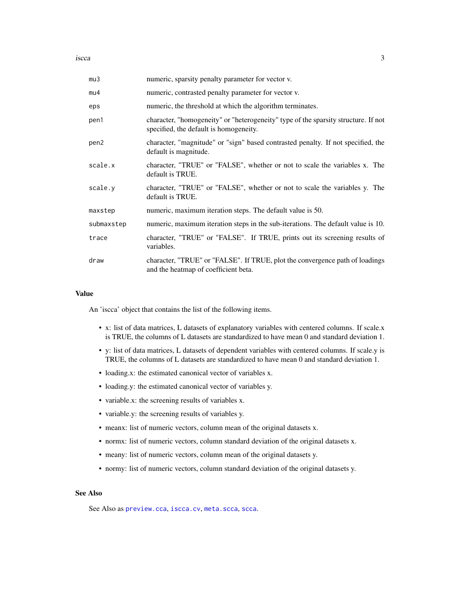<span id="page-2-0"></span>**iscca** 3

| mu3              | numeric, sparsity penalty parameter for vector v.                                                                            |
|------------------|------------------------------------------------------------------------------------------------------------------------------|
| mu4              | numeric, contrasted penalty parameter for vector v.                                                                          |
| eps              | numeric, the threshold at which the algorithm terminates.                                                                    |
| pen1             | character, "homogeneity" or "heterogeneity" type of the sparsity structure. If not<br>specified, the default is homogeneity. |
| pen <sub>2</sub> | character, "magnitude" or "sign" based contrasted penalty. If not specified, the<br>default is magnitude.                    |
| scale.x          | character, "TRUE" or "FALSE", whether or not to scale the variables x. The<br>default is TRUE.                               |
| scale.y          | character, "TRUE" or "FALSE", whether or not to scale the variables y. The<br>default is TRUE.                               |
| maxstep          | numeric, maximum iteration steps. The default value is 50.                                                                   |
| submaxstep       | numeric, maximum iteration steps in the sub-iterations. The default value is 10.                                             |
| trace            | character, "TRUE" or "FALSE". If TRUE, prints out its screening results of<br>variables.                                     |
| draw             | character, "TRUE" or "FALSE". If TRUE, plot the convergence path of loadings<br>and the heatmap of coefficient beta.         |

### Value

An 'iscca' object that contains the list of the following items.

- x: list of data matrices, L datasets of explanatory variables with centered columns. If scale.x is TRUE, the columns of L datasets are standardized to have mean 0 and standard deviation 1.
- y: list of data matrices, L datasets of dependent variables with centered columns. If scale.y is TRUE, the columns of L datasets are standardized to have mean 0 and standard deviation 1.
- loading.x: the estimated canonical vector of variables x.
- loading.y: the estimated canonical vector of variables y.
- variable.x: the screening results of variables x.
- variable.y: the screening results of variables y.
- meanx: list of numeric vectors, column mean of the original datasets x.
- normx: list of numeric vectors, column standard deviation of the original datasets x.
- meany: list of numeric vectors, column mean of the original datasets y.
- normy: list of numeric vectors, column standard deviation of the original datasets y.

## See Also

See Also as [preview.cca](#page-20-1), [iscca.cv](#page-3-1), [meta.scca](#page-16-1), [scca](#page-24-1).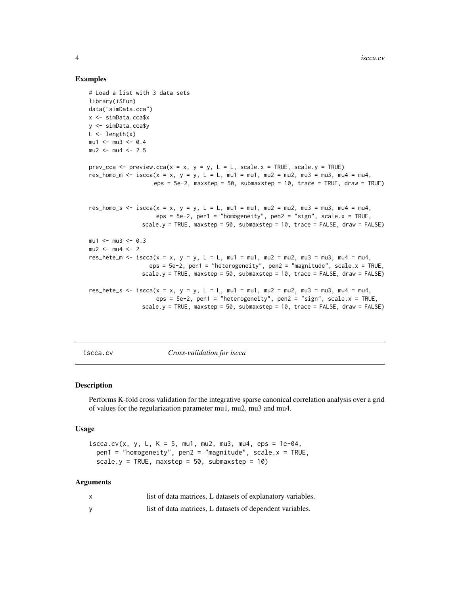#### Examples

```
# Load a list with 3 data sets
library(iSFun)
data("simData.cca")
x <- simData.cca$x
y <- simData.cca$y
L \leftarrow length(x)mu1 <- mu3 <- 0.4
mu2 < -mu4 < -2.5prev_cca <- preview.cca(x = x, y = y, L = L, scale.x = TRUE, scale.y = TRUE)
res_homo_m <- iscca(x = x, y = y, L = L, mu1 = mu1, mu2 = mu2, mu3 = mu3, mu4 = mu4,
                   eps = 5e-2, maxstep = 50, submaxstep = 10, trace = TRUE, draw = TRUE)
res_homo_s <- iscca(x = x, y = y, L = L, mu1 = mu1, mu2 = mu2, mu3 = mu3, mu4 = mu4,
                    eps = 5e-2, pen1 = "homogeneity", pen2 = "sign", scale.x = TRUE,scale.y = TRUE, maxstep = 50, submaxstep = 10, trace = FALSE, draw = FALSE)
mu1 <- mu3 <- 0.3
mu2 < -mu4 < -2res_hete_m <- iscca(x = x, y = y, L = L, mu1 = mu1, mu2 = mu2, mu3 = mu3, mu4 = mu4,
                  eps = 5e-2, pen1 = "heterogeneity", pen2 = "magnitude", scale.x = TRUE,
                scale.y = TRUE, maxstep = 50, submaxstep = 10, trace = FALSE, draw = FALSE)
res_hete_s \le iscca(x = x, y = y, L = L, mu1 = mu1, mu2 = mu2, mu3 = mu3, mu4 = mu4,eps = 5e-2, pen1 = "heterogeneity", pen2 = "sign", scale.x = TRUE,
                scale.y = TRUE, maxstep = 50, submaxstep = 10, trace = FALSE, draw = FALSE)
```
<span id="page-3-1"></span>iscca.cv *Cross-validation for iscca*

## Description

Performs K-fold cross validation for the integrative sparse canonical correlation analysis over a grid of values for the regularization parameter mu1, mu2, mu3 and mu4.

### Usage

```
iscca.cv(x, y, L, K = 5, mu1, mu2, mu3, mu4, eps = 1e-04,pen1 = "homogeneity", pen2 = "magnitude", scale.x = TRUE,
  scale.y = TRUE, maxstep = 50, submaxstep = 10)
```

| list of data matrices, L datasets of explanatory variables. |
|-------------------------------------------------------------|
| list of data matrices, L datasets of dependent variables.   |

<span id="page-3-0"></span>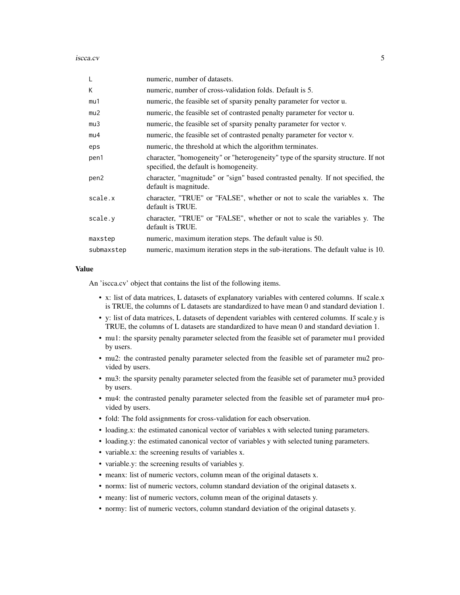iscca.cv 5

| L                | numeric, number of datasets.                                                                                                 |
|------------------|------------------------------------------------------------------------------------------------------------------------------|
| K                | numeric, number of cross-validation folds. Default is 5.                                                                     |
| mu1              | numeric, the feasible set of sparsity penalty parameter for vector u.                                                        |
| mu2              | numeric, the feasible set of contrasted penalty parameter for vector u.                                                      |
| mu3              | numeric, the feasible set of sparsity penalty parameter for vector v.                                                        |
| mu4              | numeric, the feasible set of contrasted penalty parameter for vector v.                                                      |
| eps              | numeric, the threshold at which the algorithm terminates.                                                                    |
| pen1             | character, "homogeneity" or "heterogeneity" type of the sparsity structure. If not<br>specified, the default is homogeneity. |
| pen <sub>2</sub> | character, "magnitude" or "sign" based contrasted penalty. If not specified, the<br>default is magnitude.                    |
| scale.x          | character, "TRUE" or "FALSE", whether or not to scale the variables x. The<br>default is TRUE.                               |
| scale.y          | character, "TRUE" or "FALSE", whether or not to scale the variables y. The<br>default is TRUE.                               |
| maxstep          | numeric, maximum iteration steps. The default value is 50.                                                                   |
| submaxstep       | numeric, maximum iteration steps in the sub-iterations. The default value is 10.                                             |

#### Value

An 'iscca.cv' object that contains the list of the following items.

- x: list of data matrices, L datasets of explanatory variables with centered columns. If scale.x is TRUE, the columns of L datasets are standardized to have mean 0 and standard deviation 1.
- y: list of data matrices, L datasets of dependent variables with centered columns. If scale.y is TRUE, the columns of L datasets are standardized to have mean 0 and standard deviation 1.
- mu1: the sparsity penalty parameter selected from the feasible set of parameter mu1 provided by users.
- mu2: the contrasted penalty parameter selected from the feasible set of parameter mu2 provided by users.
- mu3: the sparsity penalty parameter selected from the feasible set of parameter mu3 provided by users.
- mu4: the contrasted penalty parameter selected from the feasible set of parameter mu4 provided by users.
- fold: The fold assignments for cross-validation for each observation.
- loading.x: the estimated canonical vector of variables x with selected tuning parameters.
- loading.y: the estimated canonical vector of variables y with selected tuning parameters.
- variable.x: the screening results of variables x.
- variable.y: the screening results of variables y.
- meanx: list of numeric vectors, column mean of the original datasets x.
- normx: list of numeric vectors, column standard deviation of the original datasets x.
- meany: list of numeric vectors, column mean of the original datasets y.
- normy: list of numeric vectors, column standard deviation of the original datasets y.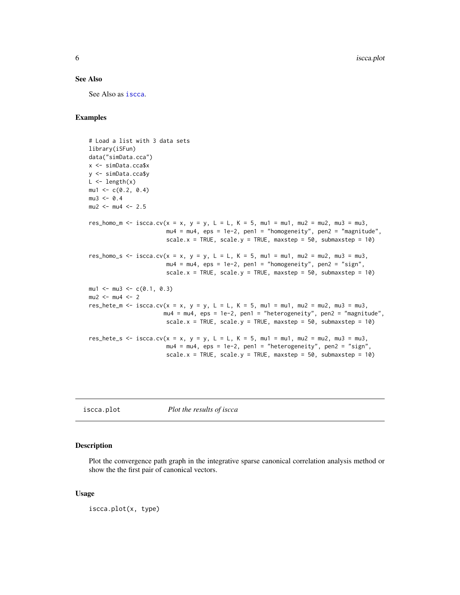#### <span id="page-5-0"></span>See Also

See Also as [iscca](#page-1-1).

## Examples

```
# Load a list with 3 data sets
library(iSFun)
data("simData.cca")
x <- simData.cca$x
y <- simData.cca$y
L \leftarrow length(x)mu1 \leq -c(0.2, 0.4)mu3 < -0.4mu2 < -mu4 < -2.5res_homo_m <- iscca.cv(x = x, y = y, L = L, K = 5, mu1 = mu1, mu2 = mu2, mu3 = mu3,
                       mu4 = mu4, eps = 1e-2, pen1 = "homogeneity", pen2 = "magnitude",
                       scale.x = TRUE, scale.y = TRUE, maxstep = 50, submaxstep = 10)
res_homo_s <- iscca.cv(x = x, y = y, L = L, K = 5, mu1 = mu1, mu2 = mu2, mu3 = mu3,
                       mu4 = mu4, eps = 1e-2, pen1 = "homogeneity", pen2 = "sign",scale.x = TRUE, scale.y = TRUE, maxstep = 50, submaxstep = 10)
mu1 <- mu3 <- c(0.1, 0.3)mu2 < -mu4 < -2res_hete_m <- iscca.cv(x = x, y = y, L = L, K = 5, mu1 = mu1, mu2 = mu2, mu3 = mu3,
                      mu4 = mu4, eps = 1e-2, pen1 = "heterogeneity", pen2 = "magnitude",
                       scale.x = TRUE, scale.y = TRUE, maxstep = 50, submaxstep = 10)
res_hete_s <- iscca.cv(x = x, y = y, L = L, K = 5, mu1 = mu1, mu2 = mu2, mu3 = mu3,
                       mu4 = mu4, eps = 1e-2, pen1 = "heterogeneity", pen2 = "sign",
                       scale.x = TRUE, scale.y = TRUE, maxstep = 50, submaxstep = 10)
```
iscca.plot *Plot the results of iscca*

#### Description

Plot the convergence path graph in the integrative sparse canonical correlation analysis method or show the the first pair of canonical vectors.

#### Usage

iscca.plot(x, type)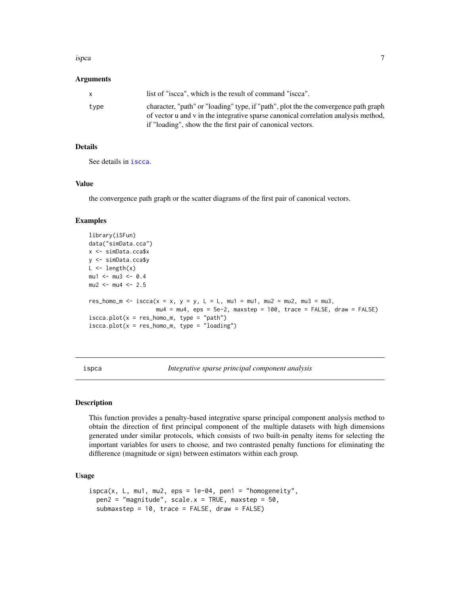#### <span id="page-6-0"></span>ispca 7 and 2012 12:00 the contract of the contract of the contract of the contract of the contract of the contract of the contract of the contract of the contract of the contract of the contract of the contract of the con

#### Arguments

|      | list of "iscca", which is the result of command "iscca".                                                                                                                  |
|------|---------------------------------------------------------------------------------------------------------------------------------------------------------------------------|
| tvpe | character, "path" or "loading" type, if "path", plot the the convergence path graph<br>of vector u and v in the integrative sparse canonical correlation analysis method, |
|      | if "loading", show the the first pair of canonical vectors.                                                                                                               |

## Details

See details in [iscca](#page-1-1).

## Value

the convergence path graph or the scatter diagrams of the first pair of canonical vectors.

#### Examples

```
library(iSFun)
data("simData.cca")
x <- simData.cca$x
y <- simData.cca$y
L \leftarrow length(x)mu1 <- mu3 <- 0.4
mu2 <- mu4 <- 2.5
res_homo_m <- iscca(x = x, y = y, L = L, mu1 = mu1, mu2 = mu2, mu3 = mu3,
                    mu4 = mu4, eps = 5e-2, maxstep = 100, trace = FALSE, draw = FALSE)
iscca.plot(x = res_homo_m, type = "path")iscca.plot(x = res_homo_m, type = "loading")
```
<span id="page-6-1"></span>ispca *Integrative sparse principal component analysis*

#### Description

This function provides a penalty-based integrative sparse principal component analysis method to obtain the direction of first principal component of the multiple datasets with high dimensions generated under similar protocols, which consists of two built-in penalty items for selecting the important variables for users to choose, and two contrasted penalty functions for eliminating the diffierence (magnitude or sign) between estimators within each group.

#### Usage

```
ispca(x, L, mu1, mu2, eps = 1e-04, pen1 = "homogeneity",pen2 = "magnitude", scale.x = TRUE, maxstep = 50,submaxstep = 10, trace = FALSE, draw = FALSE)
```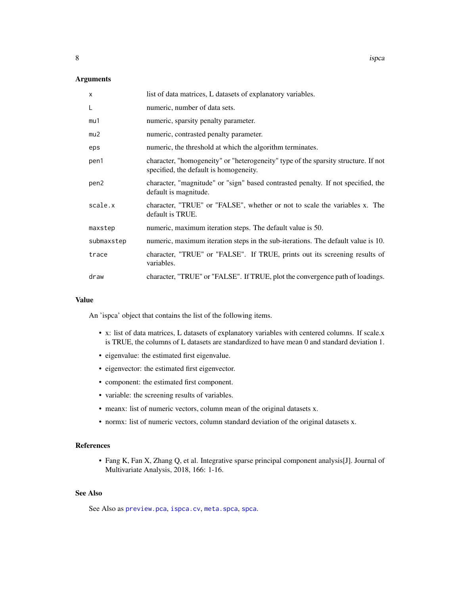<span id="page-7-0"></span>8 ispca between the contract of the contract of the contract of the contract of the contract of the contract of the contract of the contract of the contract of the contract of the contract of the contract of the contract o

## Arguments

| $\mathsf{x}$ | list of data matrices, L datasets of explanatory variables.                                                                  |
|--------------|------------------------------------------------------------------------------------------------------------------------------|
| L            | numeric, number of data sets.                                                                                                |
| mu1          | numeric, sparsity penalty parameter.                                                                                         |
| mu2          | numeric, contrasted penalty parameter.                                                                                       |
| eps          | numeric, the threshold at which the algorithm terminates.                                                                    |
| pen1         | character, "homogeneity" or "heterogeneity" type of the sparsity structure. If not<br>specified, the default is homogeneity. |
| pen2         | character, "magnitude" or "sign" based contrasted penalty. If not specified, the<br>default is magnitude.                    |
| scale.x      | character, "TRUE" or "FALSE", whether or not to scale the variables x. The<br>default is TRUE.                               |
| maxstep      | numeric, maximum iteration steps. The default value is 50.                                                                   |
| submaxstep   | numeric, maximum iteration steps in the sub-iterations. The default value is 10.                                             |
| trace        | character, "TRUE" or "FALSE". If TRUE, prints out its screening results of<br>variables.                                     |
| draw         | character, "TRUE" or "FALSE". If TRUE, plot the convergence path of loadings.                                                |

## Value

An 'ispca' object that contains the list of the following items.

- x: list of data matrices, L datasets of explanatory variables with centered columns. If scale.x is TRUE, the columns of L datasets are standardized to have mean 0 and standard deviation 1.
- eigenvalue: the estimated first eigenvalue.
- eigenvector: the estimated first eigenvector.
- component: the estimated first component.
- variable: the screening results of variables.
- meanx: list of numeric vectors, column mean of the original datasets x.
- normx: list of numeric vectors, column standard deviation of the original datasets x.

## References

• Fang K, Fan X, Zhang Q, et al. Integrative sparse principal component analysis[J]. Journal of Multivariate Analysis, 2018, 166: 1-16.

## See Also

See Also as [preview.pca](#page-22-1), [ispca.cv](#page-8-1), [meta.spca](#page-18-1), [spca](#page-26-1).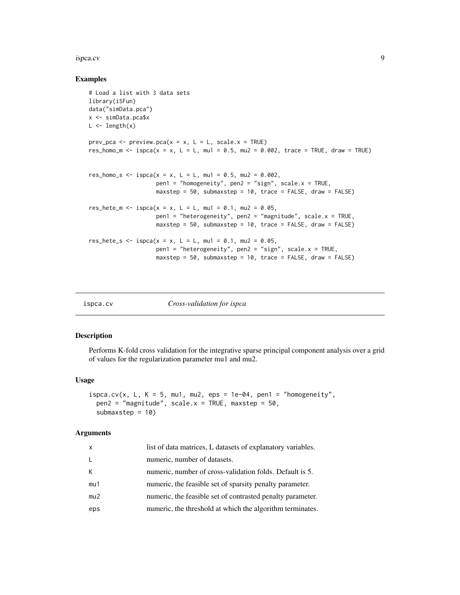#### <span id="page-8-0"></span>ispca.cv 9

#### Examples

```
# Load a list with 3 data sets
library(iSFun)
data("simData.pca")
x <- simData.pca$x
L \leftarrow length(x)
prev_pca <- preview.pca(x = x, L = L, scale.x = TRUE)
res_homo_m <- ispca(x = x, L = L, mu1 = 0.5, mu2 = 0.002, trace = TRUE, draw = TRUE)
res_homo_s <- ispca(x = x, L = L, mu1 = 0.5, mu2 = 0.002,
                    pen1 = "homogeneity", pen2 = "sign", scale.x = TRUE,
                    maxstep = 50, submaxstep = 10, trace = FALSE, draw = FALSE)
res_hete_m <- ispca(x = x, L = L, mu1 = 0.1, mu2 = 0.05,
                    pen1 = "heterogeneity", pen2 = "magnitude", scale.x = TRUE,
                    maxstep = 50, submaxstep = 10, trace = FALSE, draw = FALSE)
res_hete_s <- ispca(x = x, L = L, mu1 = 0.1, mu2 = 0.05,
                    pen1 = "heterogeneity", pen2 = "sign", scale.x = TRUE,
                    maxstep = 50, submaxstep = 10, trace = FALSE, draw = FALSE)
```
<span id="page-8-1"></span>

ispca.cv *Cross-validation for ispca*

#### Description

Performs K-fold cross validation for the integrative sparse principal component analysis over a grid of values for the regularization parameter mu1 and mu2.

#### Usage

```
ispca.cv(x, L, K = 5, mu1, mu2, eps = 1e-04, pen1 = "homogeneity",
 pen2 = "magnitude", scale.x = TRUE, maxstep = 50,submaxstep = 10)
```

| X   | list of data matrices, L datasets of explanatory variables. |
|-----|-------------------------------------------------------------|
| L   | numeric, number of datasets.                                |
| K   | numeric, number of cross-validation folds. Default is 5.    |
| mu1 | numeric, the feasible set of sparsity penalty parameter.    |
| mu2 | numeric, the feasible set of contrasted penalty parameter.  |
| eps | numeric, the threshold at which the algorithm terminates.   |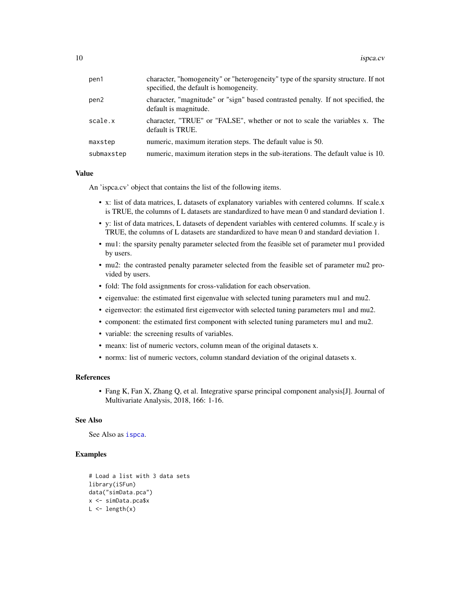<span id="page-9-0"></span>

| pen1       | character, "homogeneity" or "heterogeneity" type of the sparsity structure. If not<br>specified, the default is homogeneity. |
|------------|------------------------------------------------------------------------------------------------------------------------------|
| pen2       | character, "magnitude" or "sign" based contrasted penalty. If not specified, the<br>default is magnitude.                    |
| scale.x    | character, "TRUE" or "FALSE", whether or not to scale the variables x. The<br>default is TRUE.                               |
| maxstep    | numeric, maximum iteration steps. The default value is 50.                                                                   |
| submaxstep | numeric, maximum iteration steps in the sub-iterations. The default value is 10.                                             |

## Value

An 'ispca.cv' object that contains the list of the following items.

- x: list of data matrices, L datasets of explanatory variables with centered columns. If scale.x is TRUE, the columns of L datasets are standardized to have mean 0 and standard deviation 1.
- y: list of data matrices, L datasets of dependent variables with centered columns. If scale.y is TRUE, the columns of L datasets are standardized to have mean 0 and standard deviation 1.
- mu1: the sparsity penalty parameter selected from the feasible set of parameter mu1 provided by users.
- mu2: the contrasted penalty parameter selected from the feasible set of parameter mu2 provided by users.
- fold: The fold assignments for cross-validation for each observation.
- eigenvalue: the estimated first eigenvalue with selected tuning parameters mu1 and mu2.
- eigenvector: the estimated first eigenvector with selected tuning parameters mu1 and mu2.
- component: the estimated first component with selected tuning parameters mu1 and mu2.
- variable: the screening results of variables.
- meanx: list of numeric vectors, column mean of the original datasets x.
- normx: list of numeric vectors, column standard deviation of the original datasets x.

#### References

• Fang K, Fan X, Zhang Q, et al. Integrative sparse principal component analysis[J]. Journal of Multivariate Analysis, 2018, 166: 1-16.

## See Also

See Also as [ispca](#page-6-1).

#### Examples

```
# Load a list with 3 data sets
library(iSFun)
data("simData.pca")
x <- simData.pca$x
L \leftarrow length(x)
```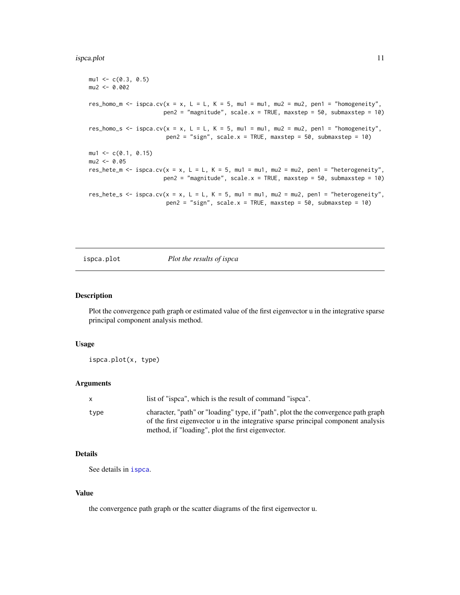#### <span id="page-10-0"></span>ispca.plot 11

```
mu1 < -c(0.3, 0.5)mu2 < -0.002res_homo_m <- ispca.cv(x = x, L = L, K = 5, mu1 = mu1, mu2 = mu2, pen1 = "homogeneity",
                      pen2 = "magnitude", scale.x = TRUE, maxstep = 50, submaxstep = 10)res_homo_s <- ispca.cv(x = x, L = L, K = 5, mu1 = mu1, mu2 = mu2, pen1 = "homogeneity",
                       pen2 = "sign", scale.x = TRUE, maxstep = 50, submaxstep = 10)mu1 \leq -c(0.1, 0.15)mu2 < -0.05res_hete_m <- ispca.cv(x = x, L = L, K = 5, mu1 = mu1, mu2 = mu2, pen1 = "heterogeneity",
                      pen2 = "magnitude", scale.x = TRUE, maxstep = 50, submaxstep = 10)res_hete_s <- ispca.cv(x = x, L = L, K = 5, mu1 = mu1, mu2 = mu2, pen1 = "heterogeneity",
                       pen2 = "sign", scale.x = TRUE, maxstep = 50, submaxstep = 10)
```
ispca.plot *Plot the results of ispca*

#### Description

Plot the convergence path graph or estimated value of the first eigenvector u in the integrative sparse principal component analysis method.

#### Usage

ispca.plot(x, type)

## Arguments

| $\mathbf{x}$ | list of "ispea", which is the result of command "ispea".                                                                                                                 |
|--------------|--------------------------------------------------------------------------------------------------------------------------------------------------------------------------|
| type         | character, "path" or "loading" type, if "path", plot the the convergence path graph<br>of the first eigenvector u in the integrative sparse principal component analysis |
|              | method, if "loading", plot the first eigenvector.                                                                                                                        |

## Details

See details in [ispca](#page-6-1).

#### Value

the convergence path graph or the scatter diagrams of the first eigenvector u.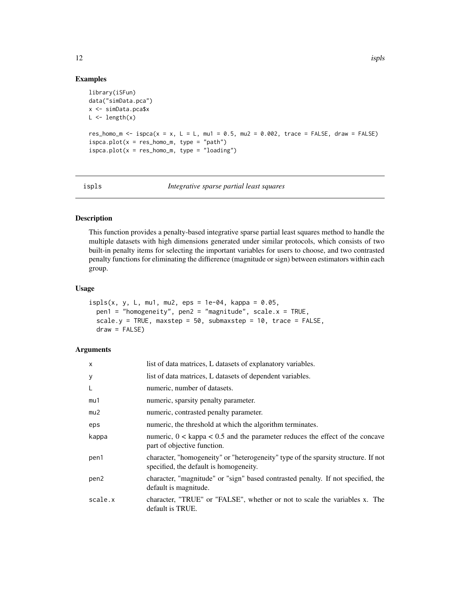## Examples

```
library(iSFun)
data("simData.pca")
x <- simData.pca$x
L \leftarrow length(x)res_homo_m <- ispca(x = x, L = L, mu1 = 0.5, mu2 = 0.002, trace = FALSE, draw = FALSE)
ispca.plot(x = res_homo_m, type = "path")ispca.plot(x = res_homo_m, type = "loading")
```
<span id="page-11-1"></span>

```
ispls Integrative sparse partial least squares
```
## Description

This function provides a penalty-based integrative sparse partial least squares method to handle the multiple datasets with high dimensions generated under similar protocols, which consists of two built-in penalty items for selecting the important variables for users to choose, and two contrasted penalty functions for eliminating the diffierence (magnitude or sign) between estimators within each group.

## Usage

```
ispls(x, y, L, mu1, mu2, eps = 1e-04, kappa = 0.05,pen1 = "homogeneity", pen2 = "magnitude", scale.x = TRUE,
 scale.y = TRUE, maxstep = 50, submaxstep = 10, trace = FALSE,
 draw = FALSE)
```

| $\times$ | list of data matrices, L datasets of explanatory variables.                                                                  |
|----------|------------------------------------------------------------------------------------------------------------------------------|
| У        | list of data matrices, L datasets of dependent variables.                                                                    |
| L        | numeric, number of datasets.                                                                                                 |
| mu1      | numeric, sparsity penalty parameter.                                                                                         |
| mu2      | numeric, contrasted penalty parameter.                                                                                       |
| eps      | numeric, the threshold at which the algorithm terminates.                                                                    |
| kappa    | numeric, $0 <$ kappa $< 0.5$ and the parameter reduces the effect of the concave<br>part of objective function.              |
| pen1     | character, "homogeneity" or "heterogeneity" type of the sparsity structure. If not<br>specified, the default is homogeneity. |
| pen2     | character, "magnitude" or "sign" based contrasted penalty. If not specified, the<br>default is magnitude.                    |
| scale.x  | character, "TRUE" or "FALSE", whether or not to scale the variables x. The<br>default is TRUE.                               |

<span id="page-11-0"></span>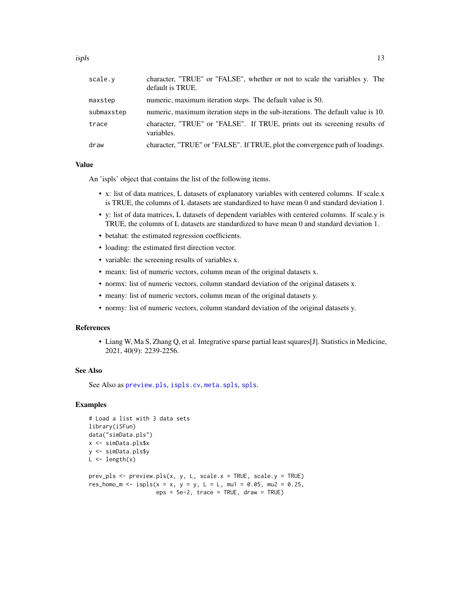<span id="page-12-0"></span>

| scale.v    | character, "TRUE" or "FALSE", whether or not to scale the variables y. The<br>default is TRUE. |
|------------|------------------------------------------------------------------------------------------------|
| maxstep    | numeric, maximum iteration steps. The default value is 50.                                     |
| submaxstep | numeric, maximum iteration steps in the sub-iterations. The default value is 10.               |
| trace      | character, "TRUE" or "FALSE". If TRUE, prints out its screening results of<br>variables.       |
| draw       | character, "TRUE" or "FALSE". If TRUE, plot the convergence path of loadings.                  |

## Value

An 'ispls' object that contains the list of the following items.

- x: list of data matrices, L datasets of explanatory variables with centered columns. If scale.x is TRUE, the columns of L datasets are standardized to have mean 0 and standard deviation 1.
- y: list of data matrices, L datasets of dependent variables with centered columns. If scale.y is TRUE, the columns of L datasets are standardized to have mean 0 and standard deviation 1.
- betahat: the estimated regression coefficients.
- loading: the estimated first direction vector.
- variable: the screening results of variables x.
- meanx: list of numeric vectors, column mean of the original datasets x.
- normx: list of numeric vectors, column standard deviation of the original datasets x.
- meany: list of numeric vectors, column mean of the original datasets y.
- normy: list of numeric vectors, column standard deviation of the original datasets y.

#### References

• Liang W, Ma S, Zhang Q, et al. Integrative sparse partial least squares[J]. Statistics in Medicine, 2021, 40(9): 2239-2256.

#### See Also

See Also as [preview.pls](#page-23-1), [ispls.cv](#page-13-1), [meta.spls](#page-19-1), [spls](#page-27-1).

## **Examples**

```
# Load a list with 3 data sets
library(iSFun)
data("simData.pls")
x <- simData.pls$x
y <- simData.pls$y
L \leftarrow length(x)prev_pls <- preview.pls(x, y, L, scale.x = TRUE, scale.y = TRUE)
res_homo_m <- ispls(x = x, y = y, L = L, mu1 = 0.05, mu2 = 0.25,
                    eps = 5e-2, trace = TRUE, draw = TRUE)
```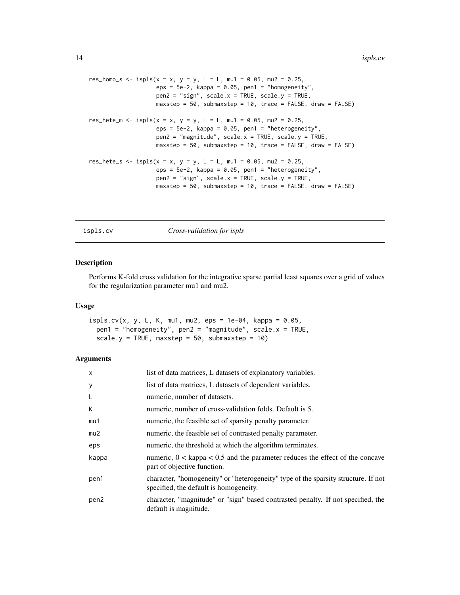```
res_homo_s <- ispls(x = x, y = y, L = L, mu1 = 0.05, mu2 = 0.25,
                   eps = 5e-2, kappa = 0.05, pen1 = "homogeneity",
                   pen2 = "sign", scale.x = TRUE, scale.y = TRUE,
                   maxstep = 50, submaxstep = 10, trace = FALSE, draw = FALSE)
res_hete_m <- ispls(x = x, y = y, L = L, mu1 = 0.05, mu2 = 0.25,
                    eps = 5e-2, kappa = 0.05, pen1 = "heterogeneity",
                    pen2 = "magnitude", scale.x = TRUE, scale.y = TRUE,
                   maxstep = 50, submaxstep = 10, trace = FALSE, draw = FALSE)
res_hete_s <- ispls(x = x, y = y, L = L, mu1 = 0.05, mu2 = 0.25,
                    eps = 5e-2, kappa = 0.05, pen1 = "heterogeneity",
                    pen2 = "sign", scale.x = TRUE, scale.y = TRUE,maxstep = 50, submaxstep = 10, trace = FALSE, draw = FALSE)
```
<span id="page-13-1"></span>ispls.cv *Cross-validation for ispls*

#### Description

Performs K-fold cross validation for the integrative sparse partial least squares over a grid of values for the regularization parameter mu1 and mu2.

## Usage

```
ispls.cv(x, y, L, K, mu1, mu2, eps = 1e-04, kappa = 0.05,
 pen1 = "homogeneity", pen2 = "magnitude", scale.x = TRUE,
  scale.y = TRUE, maxstep = 50, submaxstep = 10)
```

| $\times$         | list of data matrices, L datasets of explanatory variables.                                                                  |
|------------------|------------------------------------------------------------------------------------------------------------------------------|
| У                | list of data matrices, L datasets of dependent variables.                                                                    |
| L                | numeric, number of datasets.                                                                                                 |
| К                | numeric, number of cross-validation folds. Default is 5.                                                                     |
| mu1              | numeric, the feasible set of sparsity penalty parameter.                                                                     |
| mu2              | numeric, the feasible set of contrasted penalty parameter.                                                                   |
| eps              | numeric, the threshold at which the algorithm terminates.                                                                    |
| kappa            | numeric, $0 <$ kappa $< 0.5$ and the parameter reduces the effect of the concave<br>part of objective function.              |
| pen1             | character, "homogeneity" or "heterogeneity" type of the sparsity structure. If not<br>specified, the default is homogeneity. |
| pen <sub>2</sub> | character, "magnitude" or "sign" based contrasted penalty. If not specified, the<br>default is magnitude.                    |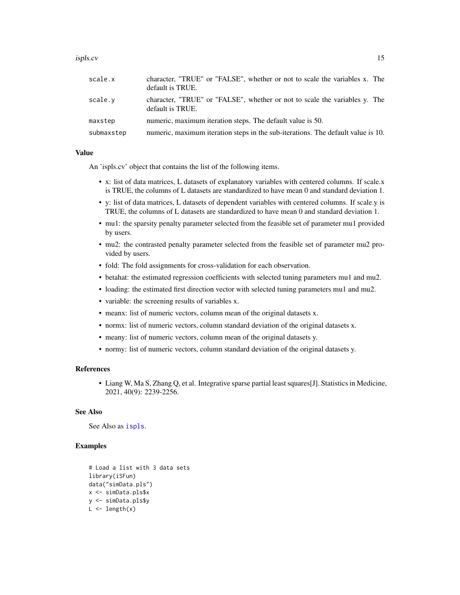#### <span id="page-14-0"></span>ispls.cv 15

| scale.x    | character, "TRUE" or "FALSE", whether or not to scale the variables x. The<br>default is TRUE. |
|------------|------------------------------------------------------------------------------------------------|
| scale.y    | character, "TRUE" or "FALSE", whether or not to scale the variables y. The<br>default is TRUE. |
| maxstep    | numeric, maximum iteration steps. The default value is 50.                                     |
| submaxstep | numeric, maximum iteration steps in the sub-iterations. The default value is 10.               |

#### Value

An 'ispls.cv' object that contains the list of the following items.

- x: list of data matrices, L datasets of explanatory variables with centered columns. If scale.x is TRUE, the columns of L datasets are standardized to have mean 0 and standard deviation 1.
- y: list of data matrices, L datasets of dependent variables with centered columns. If scale.y is TRUE, the columns of L datasets are standardized to have mean 0 and standard deviation 1.
- mu1: the sparsity penalty parameter selected from the feasible set of parameter mu1 provided by users.
- mu2: the contrasted penalty parameter selected from the feasible set of parameter mu2 provided by users.
- fold: The fold assignments for cross-validation for each observation.
- betahat: the estimated regression coefficients with selected tuning parameters mu1 and mu2.
- loading: the estimated first direction vector with selected tuning parameters mu1 and mu2.
- variable: the screening results of variables x.
- meanx: list of numeric vectors, column mean of the original datasets x.
- normx: list of numeric vectors, column standard deviation of the original datasets x.
- meany: list of numeric vectors, column mean of the original datasets y.
- normy: list of numeric vectors, column standard deviation of the original datasets y.

#### References

• Liang W, Ma S, Zhang Q, et al. Integrative sparse partial least squares[J]. Statistics in Medicine, 2021, 40(9): 2239-2256.

#### See Also

See Also as [ispls](#page-11-1).

## Examples

```
# Load a list with 3 data sets
library(iSFun)
data("simData.pls")
x <- simData.pls$x
y <- simData.pls$y
L \leftarrow length(x)
```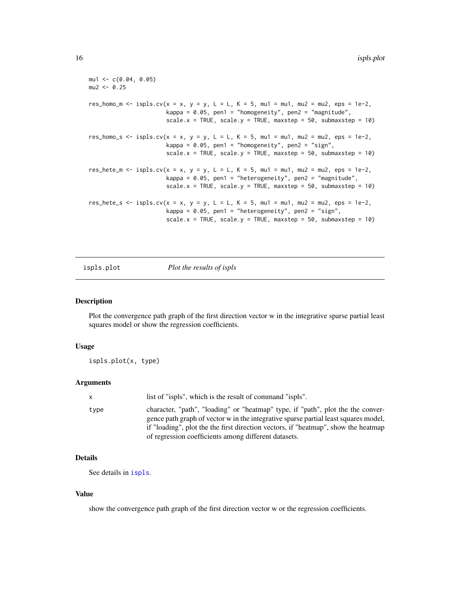```
mu1 < -c(0.04, 0.05)mu2 < -0.25res_homo_m <- ispls.cv(x = x, y = y, L = L, K = 5, mu1 = mu1, mu2 = mu2, eps = 1e-2,
                       kappa = 0.05, pen1 = "homogeneity", pen2 = "magnitude",
                       scale.x = TRUE, scale.y = TRUE, maxstep = 50, submaxstep = 10)
res_homo_s \le ispls.cv(x = x, y = y, L = L, K = 5, mu1 = mu1, mu2 = mu2, eps = 1e-2,
                       kappa = 0.05, pen1 = "homogeneity", pen2 = "sign",
                       scale.x = TRUE, scale.y = TRUE, maxstep = 50, submaxstep = 10)
res_hete_m <- ispls.cv(x = x, y = y, L = L, K = 5, mu1 = mu1, mu2 = mu2, eps = 1e-2,
                       kappa = 0.05, pen1 = "heterogeneity", pen2 = "magnitude",
                       scale.x = TRUE, scale.y = TRUE, maxstep = 50, submaxstep = 10)
res_hete_s \le ispls.cv(x = x, y = y, L = L, K = 5, mu1 = mu1, mu2 = mu2, eps = 1e-2,
                       kappa = 0.05, pen1 = "heterogeneity", pen2 = "sign",
                       scale.x = TRUE, scale.y = TRUE, maxstep = 50, submaxstep = 10)
```
ispls.plot *Plot the results of ispls*

#### Description

Plot the convergence path graph of the first direction vector w in the integrative sparse partial least squares model or show the regression coefficients.

#### Usage

ispls.plot(x, type)

#### Arguments

| X    | list of "ispls", which is the result of command "ispls".                                                                                                                                                                                                     |
|------|--------------------------------------------------------------------------------------------------------------------------------------------------------------------------------------------------------------------------------------------------------------|
| type | character, "path", "loading" or "heatmap" type, if "path", plot the the conver-<br>gence path graph of vector w in the integrative sparse partial least squares model,<br>if "loading", plot the the first direction vectors, if "heatmap", show the heatmap |
|      | of regression coefficients among different datasets.                                                                                                                                                                                                         |

## Details

See details in [ispls](#page-11-1).

#### Value

show the convergence path graph of the first direction vector w or the regression coefficients.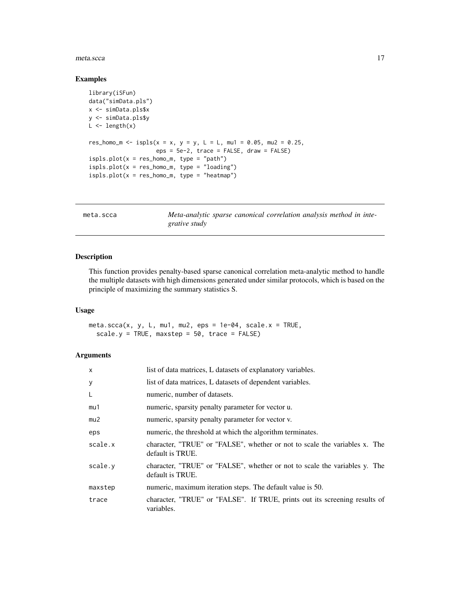#### <span id="page-16-0"></span>meta.scca and the contract of the contract of the contract of the contract of the contract of the contract of the contract of the contract of the contract of the contract of the contract of the contract of the contract of

#### Examples

```
library(iSFun)
data("simData.pls")
x <- simData.pls$x
y <- simData.pls$y
L \leftarrow length(x)res_homo_m <- ispls(x = x, y = y, L = L, mu1 = 0.05, mu2 = 0.25,
                    eps = 5e-2, trace = FALSE, draw = FALSE)
ispls.plot(x = res_{homo_m}, type = "path")
ispls.plot(x = res_homo_m, type = "loading")
ispls.plot(x = res_homo_m, type = "heatmap")
```
<span id="page-16-1"></span>

| meta.scca | Meta-analytic sparse canonical correlation analysis method in inte- |
|-----------|---------------------------------------------------------------------|
|           | grative study                                                       |

## Description

This function provides penalty-based sparse canonical correlation meta-analytic method to handle the multiple datasets with high dimensions generated under similar protocols, which is based on the principle of maximizing the summary statistics S.

## Usage

meta.scca(x, y, L, mu1, mu2, eps = 1e-04, scale. $x = TRUE$ , scale.y = TRUE, maxstep = 50, trace = FALSE)

| $\mathsf{x}$ | list of data matrices, L datasets of explanatory variables.                                    |
|--------------|------------------------------------------------------------------------------------------------|
| y            | list of data matrices, L datasets of dependent variables.                                      |
| L            | numeric, number of datasets.                                                                   |
| mu1          | numeric, sparsity penalty parameter for vector u.                                              |
| mu2          | numeric, sparsity penalty parameter for vector v.                                              |
| eps          | numeric, the threshold at which the algorithm terminates.                                      |
| scale.x      | character, "TRUE" or "FALSE", whether or not to scale the variables x. The<br>default is TRUE. |
| scale.v      | character, "TRUE" or "FALSE", whether or not to scale the variables y. The<br>default is TRUE. |
| maxstep      | numeric, maximum iteration steps. The default value is 50.                                     |
| trace        | character, "TRUE" or "FALSE". If TRUE, prints out its screening results of<br>variables.       |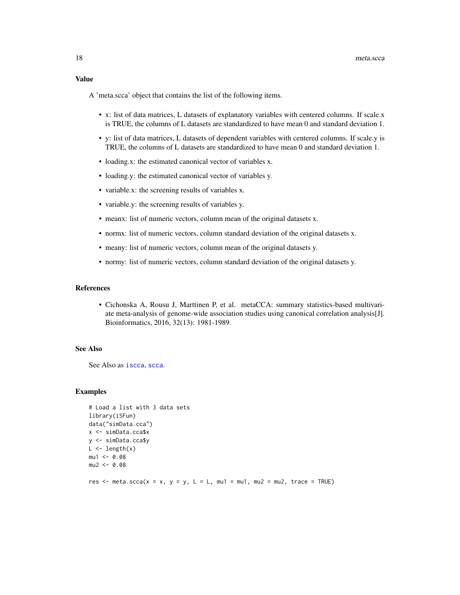<span id="page-17-0"></span>A 'meta.scca' object that contains the list of the following items.

- x: list of data matrices, L datasets of explanatory variables with centered columns. If scale.x is TRUE, the columns of L datasets are standardized to have mean 0 and standard deviation 1.
- y: list of data matrices, L datasets of dependent variables with centered columns. If scale.y is TRUE, the columns of L datasets are standardized to have mean 0 and standard deviation 1.
- loading.x: the estimated canonical vector of variables x.
- loading.y: the estimated canonical vector of variables y.
- variable.x: the screening results of variables x.
- variable.y: the screening results of variables y.
- meanx: list of numeric vectors, column mean of the original datasets x.
- normx: list of numeric vectors, column standard deviation of the original datasets x.
- meany: list of numeric vectors, column mean of the original datasets y.
- normy: list of numeric vectors, column standard deviation of the original datasets y.

#### References

• Cichonska A, Rousu J, Marttinen P, et al. metaCCA: summary statistics-based multivariate meta-analysis of genome-wide association studies using canonical correlation analysis[J]. Bioinformatics, 2016, 32(13): 1981-1989.

#### See Also

See Also as [iscca](#page-1-1), [scca](#page-24-1).

#### Examples

```
# Load a list with 3 data sets
library(iSFun)
data("simData.cca")
x <- simData.cca$x
y <- simData.cca$y
L \leftarrow length(x)mu1 < -0.08mu2 < -0.08res \le meta.scca(x = x, y = y, L = L, mu1 = mu1, mu2 = mu2, trace = TRUE)
```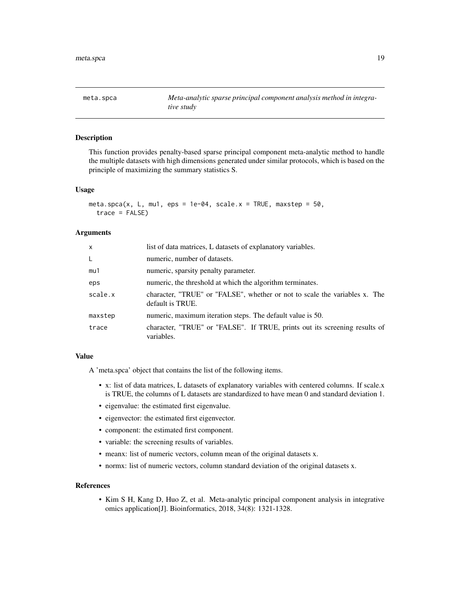<span id="page-18-1"></span><span id="page-18-0"></span>meta.spca *Meta-analytic sparse principal component analysis method in integrative study*

## Description

This function provides penalty-based sparse principal component meta-analytic method to handle the multiple datasets with high dimensions generated under similar protocols, which is based on the principle of maximizing the summary statistics S.

#### Usage

```
meta.spca(x, L, mu1, eps = 1e-04, scale.x = TRUE, maxstep = 50,
  trace = FALSE)
```
#### **Arguments**

| list of data matrices, L datasets of explanatory variables.                                    |
|------------------------------------------------------------------------------------------------|
| numeric, number of datasets.                                                                   |
| numeric, sparsity penalty parameter.                                                           |
| numeric, the threshold at which the algorithm terminates.                                      |
| character, "TRUE" or "FALSE", whether or not to scale the variables x. The<br>default is TRUE. |
| numeric, maximum iteration steps. The default value is 50.                                     |
| character, "TRUE" or "FALSE". If TRUE, prints out its screening results of<br>variables.       |
|                                                                                                |

## Value

A 'meta.spca' object that contains the list of the following items.

- x: list of data matrices, L datasets of explanatory variables with centered columns. If scale.x is TRUE, the columns of L datasets are standardized to have mean 0 and standard deviation 1.
- eigenvalue: the estimated first eigenvalue.
- eigenvector: the estimated first eigenvector.
- component: the estimated first component.
- variable: the screening results of variables.
- meanx: list of numeric vectors, column mean of the original datasets x.
- normx: list of numeric vectors, column standard deviation of the original datasets x.

#### References

• Kim S H, Kang D, Huo Z, et al. Meta-analytic principal component analysis in integrative omics application[J]. Bioinformatics, 2018, 34(8): 1321-1328.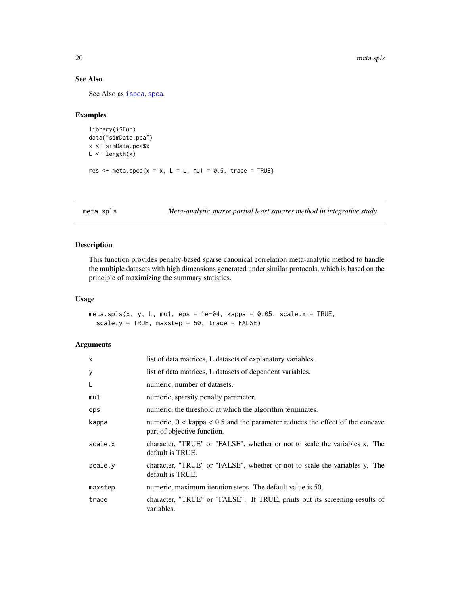## See Also

See Also as [ispca](#page-6-1), [spca](#page-26-1).

## Examples

```
library(iSFun)
data("simData.pca")
x <- simData.pca$x
L \leftarrow length(x)res \le meta.spca(x = x, L = L, mu1 = 0.5, trace = TRUE)
```
<span id="page-19-1"></span>meta.spls *Meta-analytic sparse partial least squares method in integrative study*

## Description

This function provides penalty-based sparse canonical correlation meta-analytic method to handle the multiple datasets with high dimensions generated under similar protocols, which is based on the principle of maximizing the summary statistics.

#### Usage

meta.spls(x, y, L, mu1, eps = 1e-04, kappa = 0.05, scale. $x = TRUE$ ,  $scale.y = TRUE, maxstep = 50, trace = FALSE)$ 

| $\mathsf{x}$ | list of data matrices, L datasets of explanatory variables.                                                     |
|--------------|-----------------------------------------------------------------------------------------------------------------|
| У            | list of data matrices, L datasets of dependent variables.                                                       |
| L            | numeric, number of datasets.                                                                                    |
| mu1          | numeric, sparsity penalty parameter.                                                                            |
| eps          | numeric, the threshold at which the algorithm terminates.                                                       |
| kappa        | numeric, $0 <$ kappa $< 0.5$ and the parameter reduces the effect of the concave<br>part of objective function. |
| scale.x      | character, "TRUE" or "FALSE", whether or not to scale the variables x. The<br>default is TRUE.                  |
| scale.v      | character, "TRUE" or "FALSE", whether or not to scale the variables y. The<br>default is TRUE.                  |
| maxstep      | numeric, maximum iteration steps. The default value is 50.                                                      |
| trace        | character, "TRUE" or "FALSE". If TRUE, prints out its screening results of<br>variables.                        |

<span id="page-19-0"></span>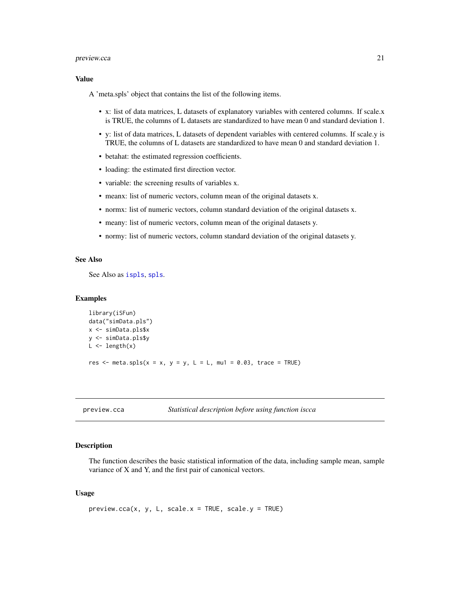#### <span id="page-20-0"></span>preview.cca 21

## Value

A 'meta.spls' object that contains the list of the following items.

- x: list of data matrices, L datasets of explanatory variables with centered columns. If scale.x is TRUE, the columns of L datasets are standardized to have mean 0 and standard deviation 1.
- y: list of data matrices, L datasets of dependent variables with centered columns. If scale.y is TRUE, the columns of L datasets are standardized to have mean 0 and standard deviation 1.
- betahat: the estimated regression coefficients.
- loading: the estimated first direction vector.
- variable: the screening results of variables x.
- meanx: list of numeric vectors, column mean of the original datasets x.
- normx: list of numeric vectors, column standard deviation of the original datasets x.
- meany: list of numeric vectors, column mean of the original datasets y.
- normy: list of numeric vectors, column standard deviation of the original datasets y.

## See Also

See Also as [ispls](#page-11-1), [spls](#page-27-1).

## **Examples**

```
library(iSFun)
data("simData.pls")
x <- simData.pls$x
y <- simData.pls$y
L \leftarrow length(x)
res \le meta.spls(x = x, y = y, L = L, mu1 = 0.03, trace = TRUE)
```
<span id="page-20-1"></span>preview.cca *Statistical description before using function iscca*

## Description

The function describes the basic statistical information of the data, including sample mean, sample variance of X and Y, and the first pair of canonical vectors.

#### Usage

```
preview.cca(x, y, L, scale.x = TRUE, scale.y = TRUE)
```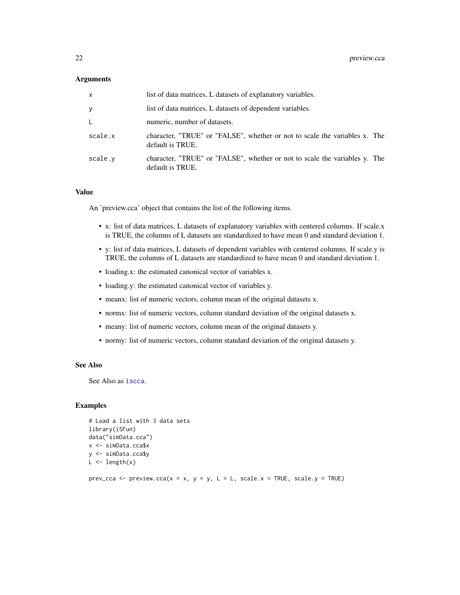#### <span id="page-21-0"></span>**Arguments**

| $\mathsf{x}$ | list of data matrices, L datasets of explanatory variables.                                    |
|--------------|------------------------------------------------------------------------------------------------|
| У            | list of data matrices, L datasets of dependent variables.                                      |
| L.           | numeric, number of datasets.                                                                   |
| scale.x      | character, "TRUE" or "FALSE", whether or not to scale the variables x. The<br>default is TRUE. |
| scale.y      | character, "TRUE" or "FALSE", whether or not to scale the variables y. The<br>default is TRUE. |

#### Value

An 'preview.cca' object that contains the list of the following items.

- x: list of data matrices, L datasets of explanatory variables with centered columns. If scale.x is TRUE, the columns of L datasets are standardized to have mean 0 and standard deviation 1.
- y: list of data matrices, L datasets of dependent variables with centered columns. If scale.y is TRUE, the columns of L datasets are standardized to have mean 0 and standard deviation 1.
- loading.x: the estimated canonical vector of variables x.
- loading.y: the estimated canonical vector of variables y.
- meanx: list of numeric vectors, column mean of the original datasets x.
- normx: list of numeric vectors, column standard deviation of the original datasets x.
- meany: list of numeric vectors, column mean of the original datasets y.
- normy: list of numeric vectors, column standard deviation of the original datasets y.

#### See Also

See Also as [iscca](#page-1-1).

## Examples

```
# Load a list with 3 data sets
library(iSFun)
data("simData.cca")
x <- simData.cca$x
y <- simData.cca$y
L \leftarrow length(x)
```
prev\_cca <- preview.cca( $x = x$ ,  $y = y$ ,  $L = L$ , scale. $x = TRUE$ , scale. $y = TRUE$ )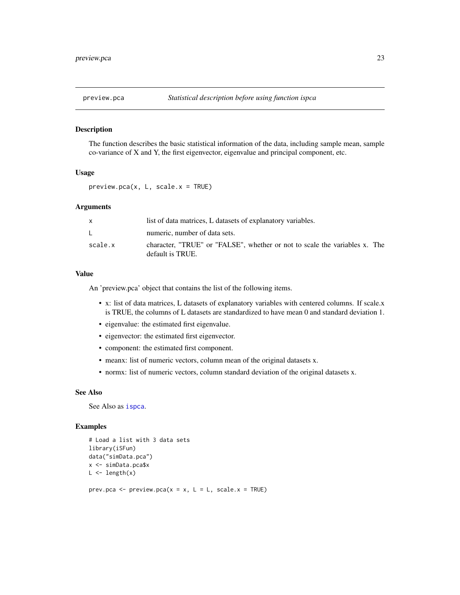<span id="page-22-1"></span><span id="page-22-0"></span>

## Description

The function describes the basic statistical information of the data, including sample mean, sample co-variance of X and Y, the first eigenvector, eigenvalue and principal component, etc.

## Usage

 $preview.pca(x, L, scale.x = TRUE)$ 

## Arguments

| $\mathsf{x}$ | list of data matrices, L datasets of explanatory variables.                                    |
|--------------|------------------------------------------------------------------------------------------------|
| L.           | numeric, number of data sets.                                                                  |
| scale.x      | character, "TRUE" or "FALSE", whether or not to scale the variables x. The<br>default is TRUE. |

## Value

An 'preview.pca' object that contains the list of the following items.

- x: list of data matrices, L datasets of explanatory variables with centered columns. If scale.x is TRUE, the columns of L datasets are standardized to have mean 0 and standard deviation 1.
- eigenvalue: the estimated first eigenvalue.
- eigenvector: the estimated first eigenvector.
- component: the estimated first component.
- meanx: list of numeric vectors, column mean of the original datasets x.
- normx: list of numeric vectors, column standard deviation of the original datasets x.

#### See Also

See Also as [ispca](#page-6-1).

#### Examples

```
# Load a list with 3 data sets
library(iSFun)
data("simData.pca")
x <- simData.pca$x
L \leftarrow length(x)
```
prev.pca <- preview.pca( $x = x$ ,  $L = L$ , scale. $x = TRUE$ )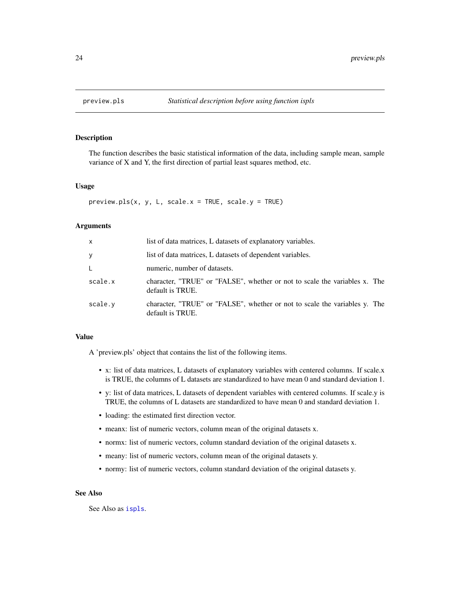<span id="page-23-1"></span><span id="page-23-0"></span>

## Description

The function describes the basic statistical information of the data, including sample mean, sample variance of X and Y, the first direction of partial least squares method, etc.

#### Usage

 $preview. pls(x, y, L, scale.x = TRUE, scale.y = TRUE)$ 

#### Arguments

| $\mathsf{x}$ | list of data matrices, L datasets of explanatory variables.                                    |
|--------------|------------------------------------------------------------------------------------------------|
| У            | list of data matrices, L datasets of dependent variables.                                      |
| L.           | numeric, number of datasets.                                                                   |
| scale.x      | character, "TRUE" or "FALSE", whether or not to scale the variables x. The<br>default is TRUE. |
| scale.v      | character, "TRUE" or "FALSE", whether or not to scale the variables y. The<br>default is TRUE. |

## Value

A 'preview.pls' object that contains the list of the following items.

- x: list of data matrices, L datasets of explanatory variables with centered columns. If scale.x is TRUE, the columns of L datasets are standardized to have mean 0 and standard deviation 1.
- y: list of data matrices, L datasets of dependent variables with centered columns. If scale.y is TRUE, the columns of L datasets are standardized to have mean 0 and standard deviation 1.
- loading: the estimated first direction vector.
- meanx: list of numeric vectors, column mean of the original datasets x.
- normx: list of numeric vectors, column standard deviation of the original datasets x.
- meany: list of numeric vectors, column mean of the original datasets y.
- normy: list of numeric vectors, column standard deviation of the original datasets y.

## See Also

See Also as [ispls](#page-11-1).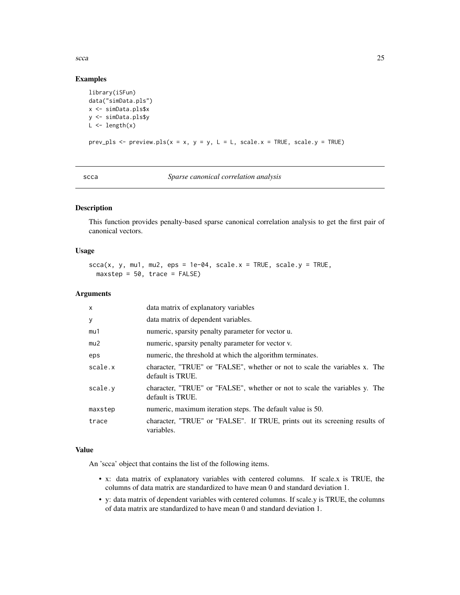<span id="page-24-0"></span> $\mathbf{s}cca$  25

## Examples

```
library(iSFun)
data("simData.pls")
x <- simData.pls$x
y <- simData.pls$y
L \leftarrow length(x)prev_pls <- preview.pls(x = x, y = y, L = L, scale.x = TRUE, scale.y = TRUE)
```

```
scca Sparse canonical correlation analysis
```
## Description

This function provides penalty-based sparse canonical correlation analysis to get the first pair of canonical vectors.

## Usage

```
scca(x, y, mu1, mu2,eps = 1e-04, scale.x = TRUE, scale.y = TRUE,maxstep = 50, trace = FALSE)
```
## Arguments

| $\mathsf{x}$ | data matrix of explanatory variables                                                           |
|--------------|------------------------------------------------------------------------------------------------|
| y            | data matrix of dependent variables.                                                            |
| mu1          | numeric, sparsity penalty parameter for vector u.                                              |
| mu2          | numeric, sparsity penalty parameter for vector v.                                              |
| eps          | numeric, the threshold at which the algorithm terminates.                                      |
| scale.x      | character, "TRUE" or "FALSE", whether or not to scale the variables x. The<br>default is TRUE. |
| scale.v      | character, "TRUE" or "FALSE", whether or not to scale the variables y. The<br>default is TRUE. |
| maxstep      | numeric, maximum iteration steps. The default value is 50.                                     |
| trace        | character, "TRUE" or "FALSE". If TRUE, prints out its screening results of<br>variables.       |

## Value

An 'scca' object that contains the list of the following items.

- x: data matrix of explanatory variables with centered columns. If scale.x is TRUE, the columns of data matrix are standardized to have mean 0 and standard deviation 1.
- y: data matrix of dependent variables with centered columns. If scale.y is TRUE, the columns of data matrix are standardized to have mean 0 and standard deviation 1.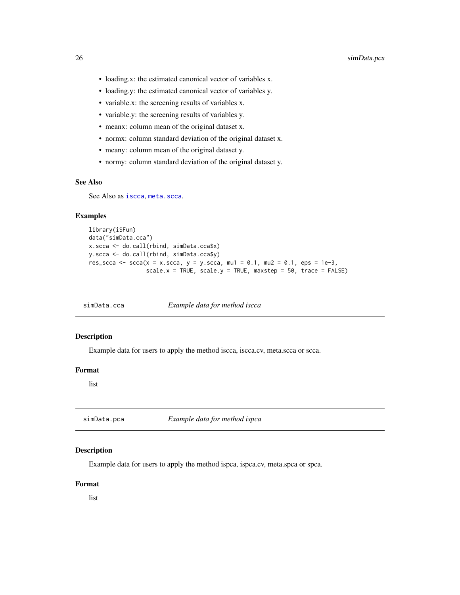- <span id="page-25-0"></span>• loading.x: the estimated canonical vector of variables x.
- loading.y: the estimated canonical vector of variables y.
- variable.x: the screening results of variables x.
- variable.y: the screening results of variables y.
- meanx: column mean of the original dataset x.
- normx: column standard deviation of the original dataset x.
- meany: column mean of the original dataset y.
- normy: column standard deviation of the original dataset y.

## See Also

See Also as [iscca](#page-1-1), [meta.scca](#page-16-1).

#### Examples

```
library(iSFun)
data("simData.cca")
x.scca <- do.call(rbind, simData.cca$x)
y.scca <- do.call(rbind, simData.cca$y)
res_scca <- scca(x = x.scca, y = y.scca, mu1 = 0.1, mu2 = 0.1, eps = 1e-3,
                 scale.x = TRUE, scale.y = TRUE, maxstep = 50, trace = FALSE)
```
simData.cca *Example data for method iscca*

## Description

Example data for users to apply the method iscca, iscca.cv, meta.scca or scca.

## Format

list

simData.pca *Example data for method ispca*

## Description

Example data for users to apply the method ispca, ispca.cv, meta.spca or spca.

## Format

list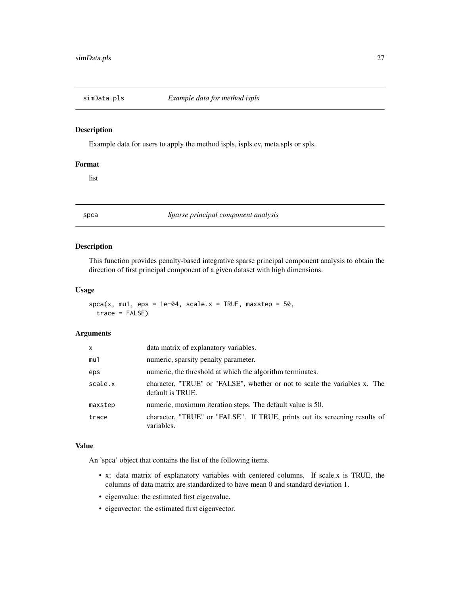<span id="page-26-0"></span>

#### Description

Example data for users to apply the method ispls, ispls.cv, meta.spls or spls.

#### Format

list

<span id="page-26-1"></span>spca *Sparse principal component analysis*

## Description

This function provides penalty-based integrative sparse principal component analysis to obtain the direction of first principal component of a given dataset with high dimensions.

## Usage

 $spca(x, mu1,eps = 1e-04, scale.x = TRUE, maxstep = 50,$  $trace = FALSE)$ 

#### Arguments

| X       | data matrix of explanatory variables.                                                          |
|---------|------------------------------------------------------------------------------------------------|
| mu1     | numeric, sparsity penalty parameter.                                                           |
| eps     | numeric, the threshold at which the algorithm terminates.                                      |
| scale.x | character, "TRUE" or "FALSE", whether or not to scale the variables x. The<br>default is TRUE. |
| maxstep | numeric, maximum iteration steps. The default value is 50.                                     |
| trace   | character, "TRUE" or "FALSE". If TRUE, prints out its screening results of<br>variables.       |

## Value

An 'spca' object that contains the list of the following items.

- x: data matrix of explanatory variables with centered columns. If scale.x is TRUE, the columns of data matrix are standardized to have mean 0 and standard deviation 1.
- eigenvalue: the estimated first eigenvalue.
- eigenvector: the estimated first eigenvector.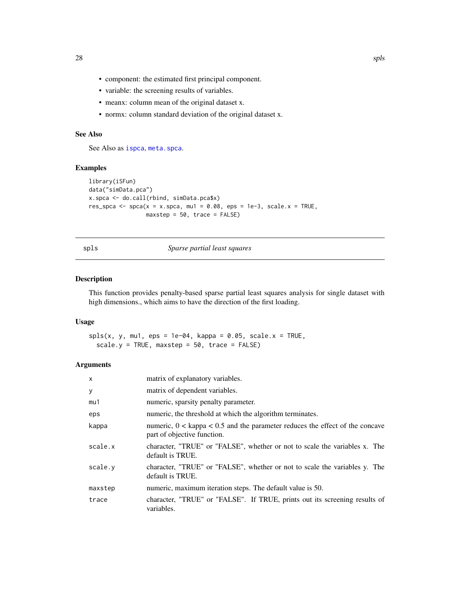- component: the estimated first principal component.
- variable: the screening results of variables.
- meanx: column mean of the original dataset x.
- normx: column standard deviation of the original dataset x.

## See Also

See Also as [ispca](#page-6-1), [meta.spca](#page-18-1).

## Examples

```
library(iSFun)
data("simData.pca")
x.spca <- do.call(rbind, simData.pca$x)
res_spca <- spca(x = x. spca, mu1 = 0.08, eps = 1e-3, scale.x = TRUE,
                 maxstep = 50, trace = FALSE)
```
<span id="page-27-1"></span>spls *Sparse partial least squares*

### Description

This function provides penalty-based sparse partial least squares analysis for single dataset with high dimensions., which aims to have the direction of the first loading.

### Usage

 $spls(x, y, mu1, eps = 1e-04, kappa = 0.05, scale.x = TRUE,$ scale.y = TRUE, maxstep = 50, trace = FALSE)

#### Arguments

| $\mathsf{x}$ | matrix of explanatory variables.                                                                                |
|--------------|-----------------------------------------------------------------------------------------------------------------|
| У            | matrix of dependent variables.                                                                                  |
| mu1          | numeric, sparsity penalty parameter.                                                                            |
| eps          | numeric, the threshold at which the algorithm terminates.                                                       |
| kappa        | numeric, $0 <$ kappa $< 0.5$ and the parameter reduces the effect of the concave<br>part of objective function. |
| scale.x      | character, "TRUE" or "FALSE", whether or not to scale the variables x. The<br>default is TRUE.                  |
| scale.y      | character, "TRUE" or "FALSE", whether or not to scale the variables y. The<br>default is TRUE.                  |
| maxstep      | numeric, maximum iteration steps. The default value is 50.                                                      |
| trace        | character, "TRUE" or "FALSE". If TRUE, prints out its screening results of<br>variables.                        |

<span id="page-27-0"></span>28 spls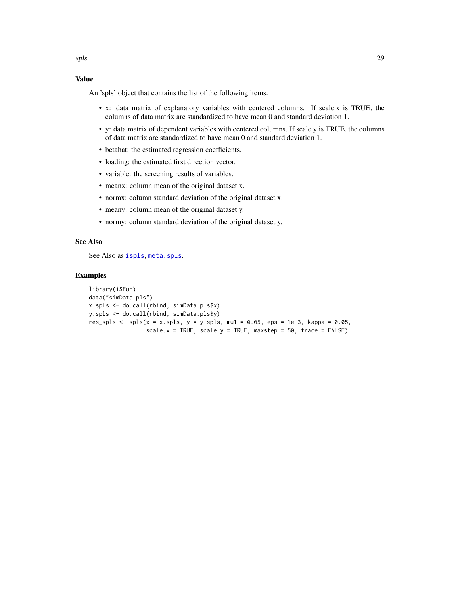## <span id="page-28-0"></span>Value

An 'spls' object that contains the list of the following items.

- x: data matrix of explanatory variables with centered columns. If scale.x is TRUE, the columns of data matrix are standardized to have mean 0 and standard deviation 1.
- y: data matrix of dependent variables with centered columns. If scale.y is TRUE, the columns of data matrix are standardized to have mean 0 and standard deviation 1.
- betahat: the estimated regression coefficients.
- loading: the estimated first direction vector.
- variable: the screening results of variables.
- meanx: column mean of the original dataset x.
- normx: column standard deviation of the original dataset x.
- meany: column mean of the original dataset y.
- normy: column standard deviation of the original dataset y.

#### See Also

See Also as [ispls](#page-11-1), [meta.spls](#page-19-1).

#### Examples

```
library(iSFun)
data("simData.pls")
x.spls <- do.call(rbind, simData.pls$x)
y.spls <- do.call(rbind, simData.pls$y)
res_spls <- spls(x = x.\text{spls}, y = y.\text{spls}, m u1 = 0.05, eps = 1e-3, kappa = 0.05,
                  scale.x = TRUE, scale.y = TRUE, maxstep = 50, trace = FALSE)
```